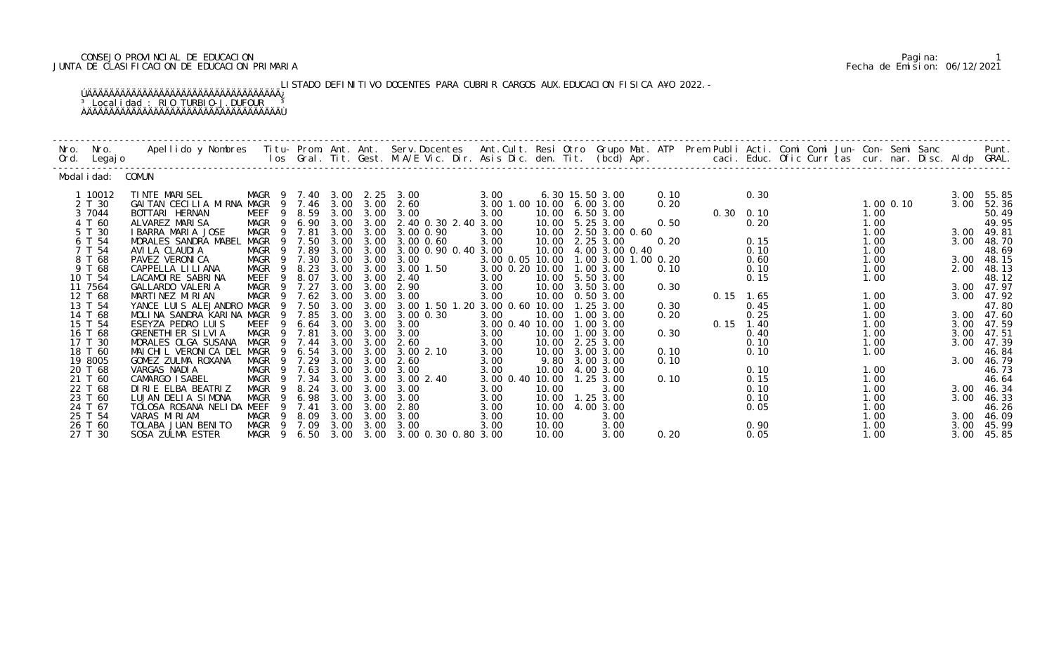# CONSEJO PROVINCIAL DE EDUCACION Pagina: 1 JUNTA DE CLASIFICACION DE EDUCACION PRIMARIA Fecha de Emision: 06/12/2021

 LISTADO DEFINITIVO DOCENTES PARA CUBRIR CARGOS AUX.EDUCACION FISICA A¥O 2022.- ÚÄÄÄÄÄÄÄÄÄÄÄÄÄÄÄÄÄÄÄÄÄÄÄÄÄÄÄÄÄÄÄÄÄÄÄ¿ <sup>3</sup> Localidad : RIO TURBIO-J.DUFOUR <sup>3</sup>

ÀÄÄÄÄÄÄÄÄÄÄÄÄÄÄÄÄÄÄÄÄÄÄÄÄÄÄÄÄÄÄÄÄÄÄÄÙ

| Nro.<br>Ord. | Nro.<br>Legaj o    | Apellido y Nombres - Titu- Prom. Ant. Ant. Serv.Docentes - Ant.Cult. Resi Otro Grupo Mat. ATP - Prem Publi Acti. Comi Comi Jun- Con- Semi Sanc - Sanc - Semi Sanc - Semi Sanc - Semi Sanc - Semi Sanc - Semi Sanc - Semi Sanc |                   |              |              |               |                                |                         |                |                             |      |      |                   | caci. Educ. Ofic Curr tas cur. nar. Disc. Aldp GRAL. |               |              | Punt.               |
|--------------|--------------------|-------------------------------------------------------------------------------------------------------------------------------------------------------------------------------------------------------------------------------|-------------------|--------------|--------------|---------------|--------------------------------|-------------------------|----------------|-----------------------------|------|------|-------------------|------------------------------------------------------|---------------|--------------|---------------------|
|              | Modal i dad:       | COMUN                                                                                                                                                                                                                         |                   |              |              |               |                                |                         |                |                             |      |      |                   |                                                      |               |              |                     |
|              | 1 10012            | TINTE MARISEL                                                                                                                                                                                                                 | MAGR<br>- 9       | 7.40         |              | $3.00$ $2.25$ | 3.00                           | 3.00                    |                | 6.30 15.50 3.00             | 0.10 |      | 0.30              |                                                      |               | 3.00         | 55.85               |
|              | 2 T 30             | GAITAN CECILIA MIRNA MAGR                                                                                                                                                                                                     | 9                 | 7.46         | 3.00         | 3.00          | 2.60                           | 3.00 1.00 10.00         |                | 6.003.00                    | 0.20 |      |                   |                                                      | $1.00$ $0.10$ | 3.00         | 52.36               |
|              | 3 7044             | BOTTARI HERNAN                                                                                                                                                                                                                | MEEF<br>9         | 8.59         | 3.00         | 3.00          | 3.00                           | 3.00                    | 10.00          | 6.503.00                    |      |      | $0.30 \quad 0.10$ |                                                      | 1.00          |              | 50.49               |
|              | 4 T 60             | ALVAREZ MARISA<br><b>I BARRA MARI A JOSE</b>                                                                                                                                                                                  | MAGR<br>9<br>9    | 6.90         | 3.00<br>3.00 | 3.00<br>3.00  | 2.40 0.30 2.40 3.00            |                         | 10.00<br>10.00 | 5.25 3.00                   | 0.50 |      | 0.20              |                                                      | 1.00          |              | 49.95               |
|              | 5 T 30<br>6 T 54   | MORALES SANDRA MABEL                                                                                                                                                                                                          | MAGR<br>MAGR<br>9 | 7.81<br>7.50 | 3.00         | 3.00          | 3.00 0.90<br>$3.00 \, 0.60$    | 3.00<br>3.00            | 10.00          | 2.50 3.00 0.60<br>2.25 3.00 | 0.20 |      | 0.15              |                                                      | 1.00<br>1.00  | 3.00         | 3.00 49.81<br>48.70 |
|              | 7 T 54             | AVI LA CLAUDI A                                                                                                                                                                                                               | MAGR<br>9         | 7.89         | 3.00         | 3.00          | 3.00 0.90 0.40 3.00            |                         | 10.00          | 4.00 3.00 0.40              |      |      | 0.10              |                                                      | 1.00          |              | 48.69               |
|              | 8 T 68             | PAVEZ VERONICA                                                                                                                                                                                                                | MAGR              | 7.30         | 3.00         | 3.00          | 3.00                           | 3.00 0.05 10.00         |                | 1.00 3.00 1.00 0.20         |      |      | 0.60              |                                                      | 1.00          | 3.00         | 48.15               |
|              | 9 T 68             | CAPPELLA LILIANA                                                                                                                                                                                                              | MAGR<br>9         | 8.23         | 3.00         | 3.00          | 3.00 1.50                      | 3.00 0.20 10.00         |                | 1.00 3.00                   | 0.10 |      | 0.10              |                                                      | 1.00          | 2.00         | 48.13               |
|              | 10 T 54            | LACAMOIRE SABRINA                                                                                                                                                                                                             | MEEF<br>9         | 8.07         | 3.00         | 3.00          | 2.40                           | 3.00                    | 10.00          | 5.50 3.00                   |      |      | 0.15              |                                                      | 1.00          |              | 48.12               |
|              | 11 7564            | GALLARDO VALERIA                                                                                                                                                                                                              | MAGR<br>- 9       | 7.27         | 3.00         | 3.00          | 2.90                           | 3.00                    | 10.00          | 3.50 3.00                   | 0.30 |      |                   |                                                      |               | 3.00         | 47.97               |
|              | 12 T 68            | MARTINEZ MIRIAN                                                                                                                                                                                                               | MAGR              | 7.62         | 3.00         | 3.00          | 3.00                           | 3.00                    | 10.00          | 0.50 3.00                   |      |      | $0.15$ 1.65       |                                                      | 1.00          | 3.00         | 47.92               |
|              | 13 T 54            | YANCE LUIS ALEJANDRO MAGR                                                                                                                                                                                                     | -9<br>9           | 7.50         | 3.00         | 3.00<br>3.00  | 3.00 1.50 1.20 3.00 0.60 10.00 |                         |                | 1.25 3.00                   | 0.30 |      | 0.45              |                                                      | 1.00          |              | 47.80               |
|              | 14 T 68<br>15 T 54 | MOLINA SANDRA KARINA MAGR<br>ESEYZA PEDRO LUIS                                                                                                                                                                                | <b>MEEF</b><br>9  | 7.85<br>6.64 | 3.00<br>3.00 | 3.00          | 3.00 0.30<br>3.00              | 3.00<br>3.00 0.40 10.00 | 10.00          | 1.00 3.00<br>1.00 3.00      | 0.20 | 0.15 | 0.25<br>1.40      |                                                      | 1.00<br>1.00  | 3.00<br>3.00 | 47.60<br>47.59      |
|              | 16 T 68            | <b>GRENETHI ER SILVIA</b>                                                                                                                                                                                                     | <b>MAGR</b><br>-9 | 7.81         | 3.00         | 3.00          | 3.00                           | 3.00                    | 10.00          | 1.00 3.00                   | 0.30 |      | 0.40              |                                                      | 1.00          | 3.00         | 47.51               |
|              | 17 T 30            | MORALES OLGA SUSANA                                                                                                                                                                                                           | <b>MAGR</b>       | 7.44         | 3.00         | 3.00          | 2.60                           | 3.00                    | 10.00          | 2.25 3.00                   |      |      | 0.10              |                                                      | 1.00          | 3.00         | 47.39               |
|              | 18 T 60            | MAI CHI L VERONI CA DEL                                                                                                                                                                                                       | MAGR<br>- 9       | 6.54         | 3.00         | 3.00          | 3.002.10                       | 3.00                    | 10.00          | 3.00 3.00                   | 0.10 |      | 0.10              |                                                      | 1.00          |              | 46.84               |
|              | 19 8005            | GOMEZ ZULMA ROXANA                                                                                                                                                                                                            | MAGR<br>-9        | 7.29         | 3.00         | 3.00          | 2.60                           | 3.00                    | 9.80           | 3.00 3.00                   | 0.10 |      |                   |                                                      |               | 3.00         | 46.79               |
|              | 20 T 68            | VARGAS NADIA                                                                                                                                                                                                                  | MAGR              | 7.63         | 3.00         | 3.00          | 3.00                           | 3.00                    | 10.00          | 4.00 3.00                   |      |      | 0.10              |                                                      | 1.00          |              | 46.73               |
|              | 21 T 60            | CAMARGO I SABEL                                                                                                                                                                                                               | MAGR<br>9         | 7.34         | 3.00         | 3.00          | 3.00 2.40                      | 3.00 0.40 10.00         |                | 1.25 3.00                   | 0.10 |      | 0.15              |                                                      | 1.00          |              | 46.64               |
|              | 22 T 68            | DIRIE ELBA BEATRIZ                                                                                                                                                                                                            | MAGR<br>9         | 8.24         | 3.00         | 3.00          | 3.00                           | 3.00                    | 10.00          | 3.00                        |      |      | 0.10              |                                                      | 1.00          | 3.00         | 46.34               |
|              | 23 T 60            | LUJAN DELIA SIMONA                                                                                                                                                                                                            | <b>MAGR</b><br>9  | 6.98         | 3.00         | 3.00          | 3.00                           | 3.00                    | 10.00          | 1.25 3.00                   |      |      | 0.10              |                                                      | 1.00          | 3.00         | 46.33               |
|              | 24 T 67            | TOLOSA ROSANA NELIDA MEEF                                                                                                                                                                                                     |                   | 7.41         | 3.00         | 3.00          | 2.80                           | 3.00                    | 10.00          | 4.00 3.00                   |      |      | 0.05              |                                                      | 1.00          |              | 46.26               |
|              | 25 T 54            | VARAS MIRIAM<br>TOLABA JUAN BENITO                                                                                                                                                                                            | MAGR<br>9<br>- 9  | 8.09<br>7.09 | 3.00<br>3.00 | 3.00<br>3.00  | 3.00                           | 3.00                    | 10.00          | 3.00                        |      |      |                   |                                                      | 1.00          | 3.00         | 46.09<br>45.99      |
|              | 26 T 60<br>27 T 30 | SOSA ZULMA ESTER                                                                                                                                                                                                              | MAGR<br>MAGR 9    | 6.50         | 3.00         | 3.00          | 3.00<br>3.00 0.30 0.80 3.00    | 3.00                    | 10.00<br>10.00 | 3.00<br>3.00                | 0.20 |      | 0.90<br>0.05      |                                                      | 1.00<br>1.00  | 3.00<br>3.00 | 45.85               |
|              |                    |                                                                                                                                                                                                                               |                   |              |              |               |                                |                         |                |                             |      |      |                   |                                                      |               |              |                     |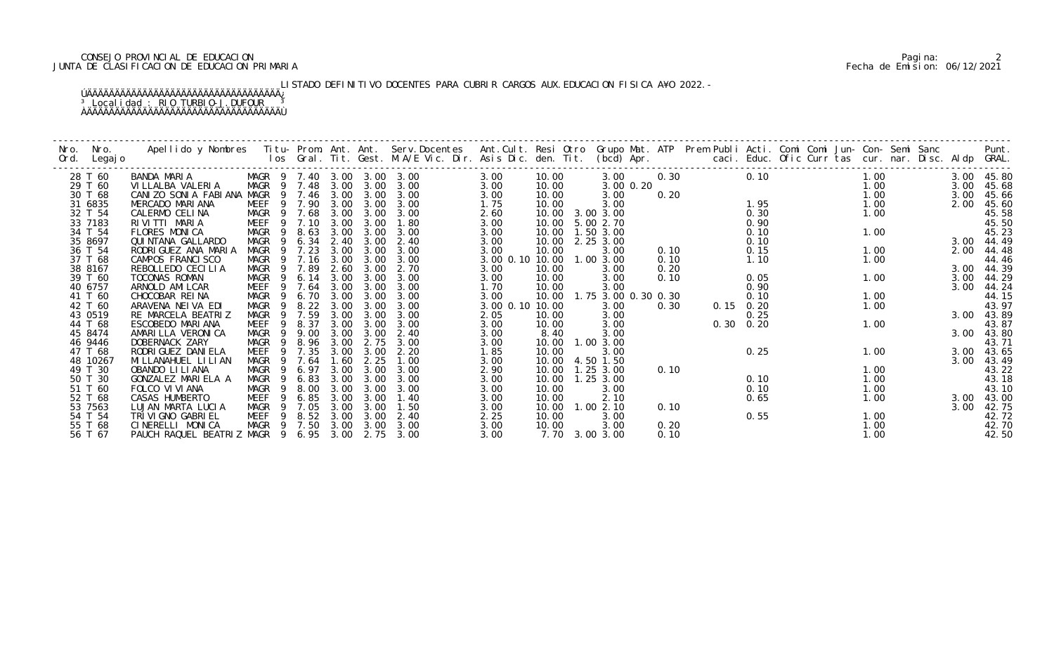# CONSEJO PROVINCIAL DE EDUCACION Pagina: 2 JUNTA DE CLASIFICACION DE EDUCACION PRIMARIA Fecha de Emision: 06/12/2021

LISTADO DEFINITIVO DOCENTES PARA CUBRIR CARGOS AUX.EDUCACION FISICA A¥O 2022.-

| Nro.<br>Ord. | Nro.<br>Legaj o | Apellido y Nombres  Titu- Prom. Ant. Ant. Serv.Docentes  Ant.Cult. Resi Otro Grupo Mat. ATP  Prem Publi Acti. Comi Comi Jun- Con- Semi Sanc        Punt.<br>Ios Gral. Tit. Gest. M.A/E Vic. Dir. Asis Dic. den. Tit. (bcd) Apr. |             |     |        |      |      |                            |                           |       |                     |           |      |      |      |  |      |      |            |
|--------------|-----------------|---------------------------------------------------------------------------------------------------------------------------------------------------------------------------------------------------------------------------------|-------------|-----|--------|------|------|----------------------------|---------------------------|-------|---------------------|-----------|------|------|------|--|------|------|------------|
|              | 28 T 60         | BANDA MARIA                                                                                                                                                                                                                     |             |     |        |      |      | MAGR 9 7.40 3.00 3.00 3.00 | 3.00                      | 10.00 | 3.00                |           | 0.30 |      | 0.10 |  | 1.00 |      | 3.00 45.80 |
|              | 29 T 60         | VI LLALBA VALERIA                                                                                                                                                                                                               | MAGR 9 7.48 |     |        | 3.00 | 3.00 | 3.00                       | 3.00                      | 10.00 |                     | 3.00 0.20 |      |      |      |  | 1.00 | 3.00 | 45.68      |
|              | 30 T 68         | CANIZO SONIA FABIANA                                                                                                                                                                                                            | MAGR        |     | 9 7.46 | 3.00 | 3.00 | 3.00                       | 3.00                      | 10.00 | 3.00                |           | 0.20 |      |      |  | 1.00 |      | 3.00 45.66 |
|              | 31 6835         | MERCADO MARIANA                                                                                                                                                                                                                 | MEEF        |     | 9 7.90 | 3.00 | 3.00 | 3.00                       | 1.75                      | 10.00 | 3.00                |           |      |      | 1.95 |  | 1.00 | 2.00 | 45.60      |
|              | 32 T 54         | CALERMO CELINA                                                                                                                                                                                                                  | MAGR        | - 9 | 7.68   | 3.00 | 3.00 | 3.00                       | 2.60                      | 10.00 | 3.00 3.00           |           |      |      | 0.30 |  | 1.00 |      | 45.58      |
|              | 33 7183         | RIVITTI MARIA                                                                                                                                                                                                                   | MEEF        |     | 7.10   | 3.00 | 3.00 | 1.80                       | 3.00                      |       | 10.00 5.00 2.70     |           |      |      | 0.90 |  |      |      | 45.50      |
|              | 34 T 54         | FLORES MONICA                                                                                                                                                                                                                   | MAGR        | - 9 | 8.63   | 3.00 | 3.00 | 3.00                       | 3.00                      |       | 10.00  1.50  3.00   |           |      |      | 0.10 |  | 1.00 |      | 45.23      |
|              | 35 8697         | QUI NTANA GALLARDO                                                                                                                                                                                                              | MAGR        | - 9 | 6.34   | 2.40 | 3.00 | 2.40                       | 3.00                      |       | 10.00 2.25 3.00     |           |      |      | 0.10 |  |      |      | 3.00 44.49 |
|              | 36 T 54         | RODRI GUEZ ANA MARIA                                                                                                                                                                                                            | <b>MAGR</b> | 9   | 7.23   | 3.00 | 3.00 | 3.00                       | 3.00                      | 10.00 | 3.00                |           | 0.10 |      | 0.15 |  | 1.00 | 2.00 | 44.48      |
|              | 37 T 68         | CAMPOS FRANCISCO                                                                                                                                                                                                                | MAGR        |     | 7.16   | 3.00 | 3.00 | 3.00                       | 3.00 0.10 10.00 1.00 3.00 |       |                     |           | 0.10 |      | 1.10 |  | 1.00 |      | 44.46      |
|              | 38 8167         | REBOLLEDO CECILIA                                                                                                                                                                                                               | MAGR        |     | 9 7.89 | 2.60 | 3.00 | 2.70                       | 3.00                      | 10.00 | 3.00                |           | 0.20 |      |      |  |      |      | 3.00 44.39 |
|              | 39 T 60         | TOCONAS ROMAN                                                                                                                                                                                                                   | MAGR        | - 9 | 6.14   | 3.00 | 3.00 | 3.00                       | 3.00                      | 10.00 | 3.00                |           | 0.10 |      | 0.05 |  | 1.00 | 3.00 | 44.29      |
|              | 40 6757         | ARNOLD AMI LCAR                                                                                                                                                                                                                 | MEEF        | - 9 | 7.64   | 3.00 | 3.00 | 3.00                       | 1.70                      | 10.00 | 3.00                |           |      |      | 0.90 |  |      | 3.00 | 44.24      |
|              | 41 T 60         | CHOCOBAR REINA                                                                                                                                                                                                                  | MAGR        |     | 6.70   | 3.00 | 3.00 | 3.00                       | 3.00                      | 10.00 | 1.75 3.00 0.30 0.30 |           |      |      | 0.10 |  | 1.00 |      | 44.15      |
|              | 42 T 60         | ARAVENA NEIVA EDI                                                                                                                                                                                                               | MAGR        | - 9 | 8.22   | 3.00 | 3.00 | 3.00                       | 3.00 0.10 10.00           |       | 3.00                |           | 0.30 | 0.15 | 0.20 |  | 1.00 |      | 43.97      |
|              | 43 0519         | RE MARCELA BEATRIZ                                                                                                                                                                                                              | MAGR        | - 9 | 7.59   | 3.00 | 3.00 | 3.00                       | 2.05                      | 10.00 | 3.00                |           |      |      | 0.25 |  |      |      | 3.00 43.89 |
|              | 44 T 68         | ESCOBEDO MARIANA                                                                                                                                                                                                                | MEEF        | -9  | 8.37   | 3.00 | 3.00 | 3.00                       | 3.00                      | 10.00 | 3.00                |           |      | 0.30 | 0.20 |  | 1.00 |      | 43.87      |
|              | 45 8474         | AMARI LLA VERONI CA                                                                                                                                                                                                             | <b>MAGR</b> | -9  | 9.00   | 3.00 | 3.00 | 2.40                       | 3.00                      | 8.40  | 3.00                |           |      |      |      |  |      | 3.00 | 43.80      |
|              | 46 9446         | DOBERNACK ZARY                                                                                                                                                                                                                  | MAGR        | - 9 | 8.96   | 3.00 | 2.75 | 3.00                       | 3.00                      | 10.00 | 1.00 3.00           |           |      |      |      |  |      |      | 43.71      |
|              | 47 T 68         | RODRI GUEZ DANI ELA                                                                                                                                                                                                             | <b>MEEF</b> |     | 9 7.35 | 3.00 | 3.00 | 2.20                       | 1.85                      | 10.00 | 3.00                |           |      |      | 0.25 |  | 1.00 |      | 3.00 43.65 |
|              | 48 10267        | MI LLANAHUEL LI LI AN                                                                                                                                                                                                           | <b>MAGR</b> | - 9 | 7.64   | 1.60 | 2.25 | 1.00                       | 3.00                      | 10.00 | 4.50 1.50           |           |      |      |      |  |      |      | 3.00 43.49 |
|              | 49 T 30         | OBANDO LI LI ANA                                                                                                                                                                                                                | MAGR        |     | 6.97   | 3.00 | 3.00 | 3.00                       | 2.90                      | 10.00 | 1.25 3.00           |           | 0.10 |      |      |  | 1.00 |      | 43.22      |
|              | 50 T 30         | GONZALEZ MARIELA A                                                                                                                                                                                                              | MAGR        | - 9 | 6.83   | 3.00 | 3.00 | 3.00                       | 3.00                      | 10.00 | 1.25 3.00           |           |      |      | 0.10 |  | 1.00 |      | 43.18      |
|              | 51 T 60         | FOLCO VI VI ANA                                                                                                                                                                                                                 | MAGR        | - 9 | 8.00   | 3.00 | 3.00 | 3.00                       | 3.00                      | 10.00 | 3.00                |           |      |      | 0.10 |  | 1.00 |      | 43.10      |
|              | 52 T 68         | CASAS HUMBERTO                                                                                                                                                                                                                  | MEEF        | -9  | 6.85   | 3.00 | 3.00 | 1.40                       | 3.00                      | 10.00 | 2.10                |           |      |      | 0.65 |  | 1.00 | 3.00 | 43.00      |
|              | 53 7563         | LUJAN MARTA LUCIA                                                                                                                                                                                                               | MAGR        | - 9 | 7.05   | 3.00 | 3.00 | 1.50                       | 3.00                      | 10.00 | 1.002.10            |           | 0.10 |      |      |  |      | 3.00 | 42.75      |
|              | 54 T 54         | TRI VI GNO GABRI EL                                                                                                                                                                                                             | MEEF        | - 9 | 8.52   | 3.00 | 3.00 | 2.40                       | 2.25                      | 10.00 | 3.00                |           |      |      | 0.55 |  | 1.00 |      | 42.72      |
|              | 55 T 68         | CINERELLI MONICA                                                                                                                                                                                                                | MAGR 9 7.50 |     |        | 3.00 | 3.00 | 3.00                       | 3.00                      | 10.00 | 3.00                |           | 0.20 |      |      |  | 1.00 |      | 42.70      |
|              | 56 T 67         | PAUCH RAQUEL BEATRIZ MAGR 9 6.95 3.00                                                                                                                                                                                           |             |     |        |      | 2.75 | 3.00                       | 3.00                      |       | 7.70 3.00 3.00      |           | 0.10 |      |      |  | 1.00 |      | 42.50      |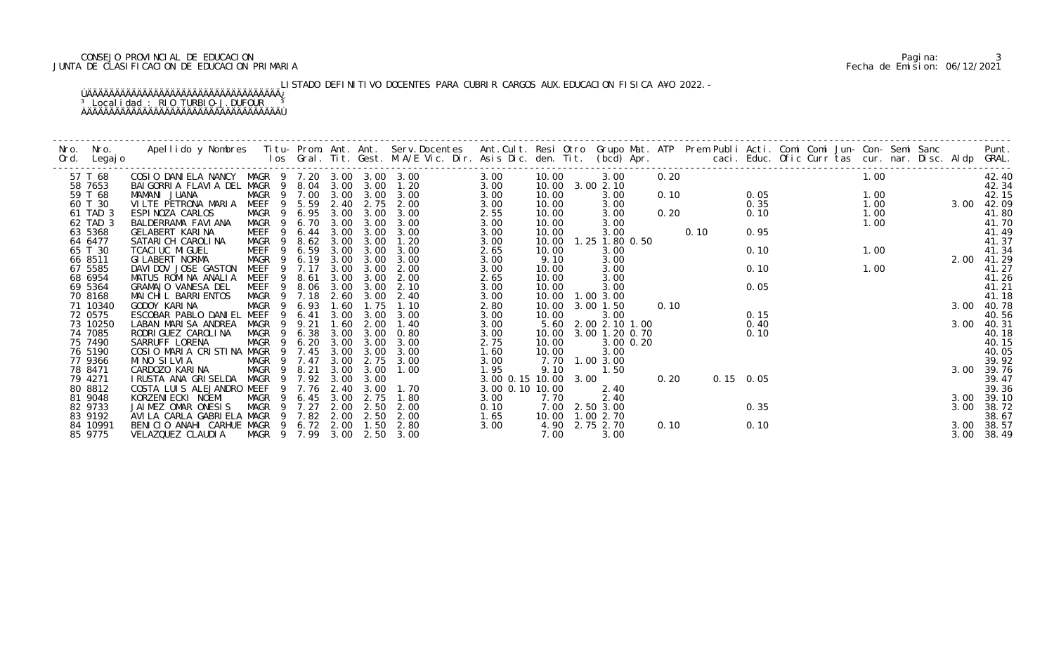# CONSEJO PROVINCIAL DE EDUCACION Pagina: 3 JUNTA DE CLASIFICACION DE EDUCACION PRIMARIA Fecha de Emision: 06/12/2021

LISTADO DEFINITIVO DOCENTES PARA CUBRIR CARGOS AUX.EDUCACION FISICA A¥O 2022.-

| Nro.    | Nro. In the Nro.<br>Ord. Legajo | Apellido y Nombres - Titu- Prom. Ant. Ant. Serv.Docentes - Ant.Cult. Resi Otro Grupo Mat. ATP Prem Publi Acti. Comi Comi Jun- Con- Semi Sanc - - - Punt.<br>Ios Gral. Tit. Gest. M.A/E Vic. Dir. Asis Dic. den. Tit. (bcd) Apr. - |                            |             |      |           |           |                      |       |                         |      |      |               |      |      |  |      |            |
|---------|---------------------------------|-----------------------------------------------------------------------------------------------------------------------------------------------------------------------------------------------------------------------------------|----------------------------|-------------|------|-----------|-----------|----------------------|-------|-------------------------|------|------|---------------|------|------|--|------|------------|
|         |                                 |                                                                                                                                                                                                                                   |                            |             |      |           |           |                      |       |                         |      |      |               |      |      |  |      |            |
| 57 T 68 |                                 | COSIO DANIELA NANCY MAGR 9 7.20 3.00 3.00 3.00                                                                                                                                                                                    |                            |             |      |           |           | 3.00                 | 10.00 | 3.00                    | 0.20 |      |               |      | 1.00 |  |      | 42.40      |
| 58 7653 |                                 | BAI GORRI A FLAVI A DEL MAGR 9 8.04 3.00 3.00 1.20                                                                                                                                                                                |                            |             |      |           |           | 3.00                 |       | 10.00 3.00 2.10         |      |      |               |      |      |  |      | 42.34      |
| 59 T 68 |                                 | MAMANI JUANA                                                                                                                                                                                                                      | MAGR 9 7.00 3.00 3.00 3.00 |             |      |           |           | 3.00                 | 10.00 | 3.00                    | 0.10 | 0.05 |               | 1.00 |      |  |      | 42.15      |
| 60 T 30 |                                 | VILTE PETRONA MARIA MEEF 9 5.59 2.40 2.75 2.00                                                                                                                                                                                    |                            |             |      |           |           | 3.00                 | 10.00 | 3.00                    |      |      | 0.35          | 1.00 |      |  |      | 3.00 42.09 |
|         | 61 TAD 3                        | ESPINOZA CARLOS                                                                                                                                                                                                                   | MAGR 9 6.95 3.00           |             |      | 3.00      | 3.00      | 2.55                 | 10.00 | 3.00                    |      | 0.20 | 0.10          |      | 1.00 |  |      | 41.80      |
|         | 62 TAD 3                        | BALDERRAMA FAVIANA                                                                                                                                                                                                                | MAGR 9 6.70 3.00           |             |      | 3.00      | 3.00      | 3.00                 | 10.00 | 3.00                    |      |      |               |      |      |  |      | 41.70      |
| 63 5368 |                                 | GELABERT KARINA                                                                                                                                                                                                                   | MEEF 9 6.44 3.00 3.00      |             |      |           | 3.00      | 3.00                 | 10.00 | 3.00                    |      | 0.10 | 0.95          |      | 1.00 |  |      | 41.49      |
| 64 6477 |                                 | SATARICH CAROLINA                                                                                                                                                                                                                 | MAGR 9 8.62 3.00 3.00      |             |      |           | 1.20      | 3.00                 |       | 10.00  1.25  1.80  0.50 |      |      |               |      |      |  |      | 41.37      |
| 65 T 30 |                                 | TCACI UC MI GUEL                                                                                                                                                                                                                  | MEEF                       | 9 6.59 3.00 |      | 3.00      | 3.00      | 2.65                 | 10.00 | 3.00                    |      |      | 0.10          |      | 1.00 |  |      | 41.34      |
| 66 8511 |                                 | GI LABERT NORMA                                                                                                                                                                                                                   | MAGR 9 6.19 3.00           |             |      | 3.00      | 3.00      | 3.00                 | 9.10  | 3.00                    |      |      |               |      |      |  | 2.00 | 41.29      |
| 67 5585 |                                 | DAVIDOV JOSE GASTON                                                                                                                                                                                                               | MEEF 9 7.17                |             |      | 3.00 3.00 | 2.00      | 3.00                 | 10.00 | 3.00                    |      |      | 0.10          |      | 1.00 |  |      | 41.27      |
| 68 6954 |                                 | MATUS ROMINA ANALIA                                                                                                                                                                                                               | MEEF 9 8.61                |             | 3.00 | 3.00      | 2.00      | 2.65                 | 10.00 | 3.00                    |      |      |               |      |      |  |      | 41.26      |
| 69 5364 |                                 | GRAMAJO VANESA DEL                                                                                                                                                                                                                | MEEF 9 8.06 3.00           |             |      | 3.00      | 2.10      | 3.00                 | 10.00 | 3.00                    |      |      | 0.05          |      |      |  |      | 41.21      |
| 70 8168 |                                 | MAI CHI L BARRI ENTOS                                                                                                                                                                                                             | MAGR 9 7.18 2.60 3.00      |             |      |           | 2.40      | 3.00                 |       | 10.00  1.00  3.00       |      |      |               |      |      |  |      | 41.18      |
|         | 71 10340                        | GODOY KARINA                                                                                                                                                                                                                      | MAGR 9 6.93                |             | 1.60 | 1.75      | 1.10      | 2.80                 |       | 10.00 3.00 1.50         | 0.10 |      |               |      |      |  |      | 3.00 40.78 |
| 72 0575 |                                 | ESCOBAR PABLO DANIEL MEEF 9 6.41                                                                                                                                                                                                  |                            |             | 3.00 | 3.00      | 3.00      | 3.00                 | 10.00 | 3.00                    |      |      | 0.15          |      |      |  |      | 40.56      |
|         | 73 10250                        | LABAN MARISA ANDREA                                                                                                                                                                                                               | MAGR 9 9.21                |             | 1.60 | 2.00      | 1.40      | 3.00                 |       | 5.60 2.00 2.10 1.00     |      |      | 0.40          |      |      |  | 3.00 | 40.31      |
| 74 7085 |                                 | RODRI GUEZ CAROLI NA                                                                                                                                                                                                              | MAGR 9 6.38                |             | 3.00 | 3.00      | 0.80      | 3.00                 | 10.00 | 3.00 1.20 0.70          |      |      | 0.10          |      |      |  |      | 40.18      |
| 75 7490 |                                 | SARRUFF LORENA                                                                                                                                                                                                                    | MAGR 9 6.20 3.00 3.00 3.00 |             |      |           |           | 2.75                 | 10.00 | 3.00 0.20               |      |      |               |      |      |  |      | 40.15      |
| 76 5190 |                                 | COSIO MARIA CRISTINA MAGR 9 7.45                                                                                                                                                                                                  |                            |             | 3.00 | 3.00      | 3.00      | 1.60                 | 10.00 | 3.00                    |      |      |               |      |      |  |      | 40.05      |
| 77 9366 |                                 | MINO SILVIA                                                                                                                                                                                                                       | MAGR 9 7.47                |             | 3.00 | 2.75      | 3.00      | 3.00                 |       | 7.70 1.00 3.00          |      |      |               |      |      |  |      | 39.92      |
| 78 8471 |                                 | CARDOZO KARINA MAGR 9 8.21 3.00<br>IRUSTA ANA GRISELDA MAGR 9 7.92 3.00                                                                                                                                                           |                            |             |      | 3.00      | 1.00      | 1.95                 | 9.10  | 1.50                    |      |      |               |      |      |  |      | 3.00 39.76 |
| 79 4271 |                                 |                                                                                                                                                                                                                                   |                            |             |      | 3.00      |           | 3.00 0.15 10.00 3.00 |       |                         | 0.20 |      | $0.15$ $0.05$ |      |      |  |      | 39.47      |
| 80 8812 |                                 | COSTA LUIS ALEJANDRO MEEF                                                                                                                                                                                                         |                            | 9 7.76 2.40 |      | 3.00      | 1. 70     | 3.00 0.10 10.00      |       | 2.40                    |      |      |               |      |      |  |      | 39.36      |
| 81 9048 |                                 | KORZENI ECKI NOEMI                                                                                                                                                                                                                | MAGR 9 6.45 3.00           |             |      | 2.75      | 1.80      | 3.00                 | 7.70  | 2.40                    |      |      |               |      |      |  |      | 3.00 39.10 |
| 82 9733 |                                 | JAIMEZ OMAR ONESIS                                                                                                                                                                                                                | MAGR 9 7.27                |             | 2.00 |           | 2.50 2.00 | 0.10                 |       | 7.00 2.50 3.00          |      |      | 0.35          |      |      |  |      | 3.00 38.72 |
| 83 9192 |                                 | AVILA CARLA GABRIELA MAGR 9 7.82 2.00 2.50 2.00                                                                                                                                                                                   |                            |             |      |           |           | 1.65                 |       | 10.00  1.00  2.70       |      |      |               |      |      |  |      | 38.67      |
|         | 84 10991                        | BENICIO ANAHI CARHUE MAGR 9 6.72 2.00                                                                                                                                                                                             |                            |             |      | 1.50      | 2.80      | 3.00                 |       | 4.90 2.75 2.70          | 0.10 |      | 0.10          |      |      |  |      | 3.00 38.57 |
| 85 9775 |                                 | VELAZQUEZ CLAUDIA MAGR 9 7.99 3.00 2.50 3.00                                                                                                                                                                                      |                            |             |      |           |           |                      | 7.00  | 3.00                    |      |      |               |      |      |  |      | 3.00 38.49 |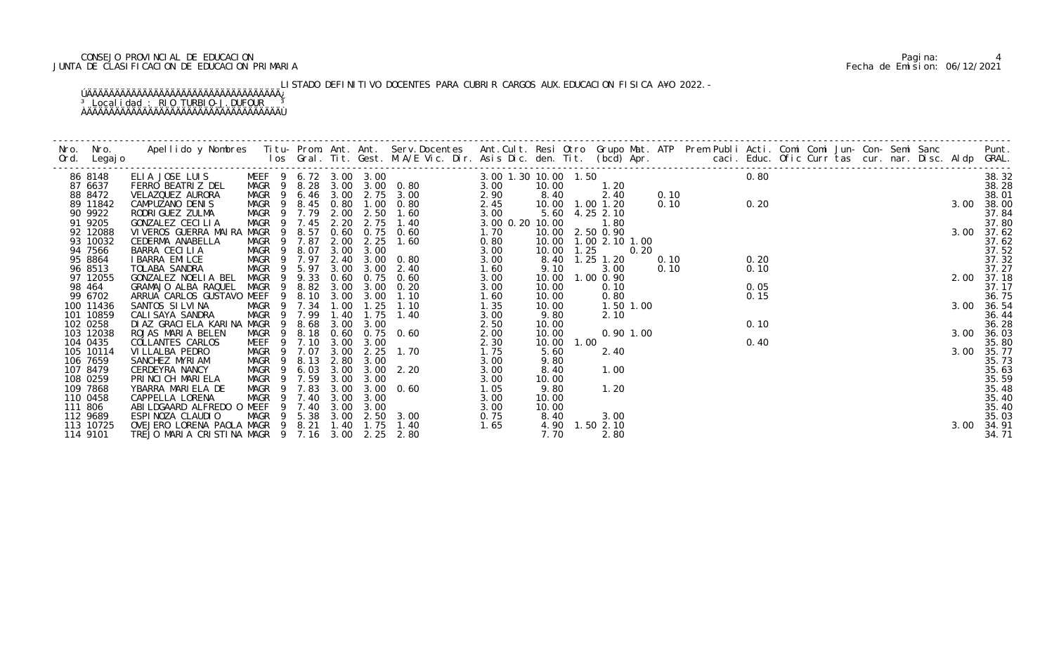# CONSEJO PROVINCIAL DE EDUCACION Pagina: 4 JUNTA DE CLASIFICACION DE EDUCACION PRIMARIA Fecha de Emision: 06/12/2021

LISTADO DEFINITIVO DOCENTES PARA CUBRIR CARGOS AUX.EDUCACION FISICA A¥O 2022.-

|         | 86 8148               | $\begin{tabular}{cccccccc} \multicolumn{4}{c {0.9\textwidth}c} \hline \multicolumn{4}{c {0.9\textwidth}c} \hline \multicolumn{4}{c {0.9\textwidth}c} \hline \multicolumn{4}{c {0.9\textwidth}c} \hline \multicolumn{4}{c {0.9\textwidth}c} \hline \multicolumn{4}{c {0.9\textwidth}c} \hline \multicolumn{4}{c {0.9\textwidth}c} \hline \multicolumn{4}{c {0.9\textwidth}c} \hline \multicolumn{4}{c {0.9\textwidth}c} \hline \multicolumn{4}{c {0.9$ |                   |                |           |      |                       |                                                     |      |       |      |                |             |  |      |  |  |  |      | 38.32          |
|---------|-----------------------|-------------------------------------------------------------------------------------------------------------------------------------------------------------------------------------------------------------------------------------------------------------------------------------------------------------------------------------------------------------------------------------------------------------------------------------------------------|-------------------|----------------|-----------|------|-----------------------|-----------------------------------------------------|------|-------|------|----------------|-------------|--|------|--|--|--|------|----------------|
|         | 87 6637               |                                                                                                                                                                                                                                                                                                                                                                                                                                                       |                   |                |           |      |                       |                                                     |      |       |      |                |             |  |      |  |  |  |      | 38.28          |
|         | 88 8472<br>89 11842   |                                                                                                                                                                                                                                                                                                                                                                                                                                                       |                   |                |           |      |                       |                                                     |      |       |      |                |             |  |      |  |  |  |      | 38.01<br>38.00 |
|         | 90 9922               |                                                                                                                                                                                                                                                                                                                                                                                                                                                       |                   |                |           |      |                       |                                                     |      |       |      |                |             |  |      |  |  |  |      | 37.84          |
|         | 91 9205               |                                                                                                                                                                                                                                                                                                                                                                                                                                                       |                   |                |           |      |                       |                                                     |      |       |      |                |             |  |      |  |  |  |      | 37.80          |
|         | 92 12088              |                                                                                                                                                                                                                                                                                                                                                                                                                                                       |                   |                |           |      |                       |                                                     |      |       |      |                |             |  |      |  |  |  |      | 3.00 37.62     |
|         | 93 10032              |                                                                                                                                                                                                                                                                                                                                                                                                                                                       |                   |                |           |      |                       |                                                     |      |       |      |                |             |  |      |  |  |  |      | 37.62          |
|         | 94 7566               |                                                                                                                                                                                                                                                                                                                                                                                                                                                       |                   |                |           |      |                       |                                                     |      |       |      |                |             |  |      |  |  |  |      | 37.52          |
|         | 95 8864               |                                                                                                                                                                                                                                                                                                                                                                                                                                                       |                   |                |           |      |                       |                                                     |      |       |      |                |             |  |      |  |  |  |      | 37.32          |
|         | 96 8513               |                                                                                                                                                                                                                                                                                                                                                                                                                                                       |                   |                |           |      |                       |                                                     |      |       |      |                |             |  |      |  |  |  |      | 37.27          |
|         | 97 12055              |                                                                                                                                                                                                                                                                                                                                                                                                                                                       |                   |                |           |      |                       |                                                     |      |       |      |                |             |  |      |  |  |  |      | 2.00 37.18     |
|         | 98 464                |                                                                                                                                                                                                                                                                                                                                                                                                                                                       |                   |                |           |      |                       |                                                     |      |       |      |                |             |  |      |  |  |  |      | 37.17          |
|         | 99 6702               |                                                                                                                                                                                                                                                                                                                                                                                                                                                       |                   |                |           |      |                       |                                                     |      |       |      |                |             |  |      |  |  |  |      | 36.75          |
|         | 100 11436             |                                                                                                                                                                                                                                                                                                                                                                                                                                                       |                   |                |           |      |                       |                                                     |      |       |      |                |             |  |      |  |  |  |      | 3.00 36.54     |
|         | 101 10859             |                                                                                                                                                                                                                                                                                                                                                                                                                                                       |                   |                |           |      |                       |                                                     |      |       |      |                |             |  |      |  |  |  |      | 36.44<br>36.28 |
|         | 102 0258<br>103 12038 | ROJAS MARIA BELEN                                                                                                                                                                                                                                                                                                                                                                                                                                     | MAGR              | - 9            | 8.18 0.60 |      |                       | 0.75 0.60                                           | 2.00 | 10.00 |      |                | $0.90$ 1.00 |  |      |  |  |  | 3.00 | 36.03          |
|         | 104 0435              | COLLANTES CARLOS                                                                                                                                                                                                                                                                                                                                                                                                                                      |                   |                |           |      | MEEF 9 7.10 3.00 3.00 |                                                     | 2.30 | 10.00 | 1.00 |                |             |  | 0.40 |  |  |  |      | 35.80          |
|         | 105 10114             | VI LLALBA PEDRO                                                                                                                                                                                                                                                                                                                                                                                                                                       | MAGR 9 7.07       |                |           |      |                       | 3.00 2.25 1.70                                      | 1.75 | 5.60  |      | 2.40           |             |  |      |  |  |  | 3.00 | 35.77          |
|         | 106 7659              | SANCHEZ MYRIAM                                                                                                                                                                                                                                                                                                                                                                                                                                        | MAGR 9 8.13       |                |           |      | 2.80 3.00             |                                                     | 3.00 | 9.80  |      |                |             |  |      |  |  |  |      | 35.73          |
|         | 107 8479              | CERDEYRA NANCY                                                                                                                                                                                                                                                                                                                                                                                                                                        | MAGR <sub>9</sub> |                | 6.03      | 3.00 |                       | $3.00$ $2.20$                                       | 3.00 | 8.40  |      | 1.00           |             |  |      |  |  |  |      | 35.63          |
|         | 108 0259              | PRINCICH MARIELA                                                                                                                                                                                                                                                                                                                                                                                                                                      | MAGR 9 7.59       |                |           | 3.00 | 3.00                  |                                                     | 3.00 | 10.00 |      |                |             |  |      |  |  |  |      | 35.59          |
|         | 109 7868              | YBARRA MARIELA DE                                                                                                                                                                                                                                                                                                                                                                                                                                     | MAGR 9 7.83       |                |           | 3.00 |                       | 3.00 0.60                                           | 1.05 | 9.80  |      | 1.20           |             |  |      |  |  |  |      | 35.48          |
|         | 110 0458              | CAPPELLA LORENA                                                                                                                                                                                                                                                                                                                                                                                                                                       | MAGR 9 7.40       |                |           | 3.00 | 3.00                  |                                                     | 3.00 | 10.00 |      |                |             |  |      |  |  |  |      | 35.40          |
| 111 806 |                       | ABILDGAARD ALFREDO O MEEF                                                                                                                                                                                                                                                                                                                                                                                                                             |                   | $\overline{9}$ | 7.40      | 3.00 | 3.00                  |                                                     | 3.00 | 10.00 |      |                |             |  |      |  |  |  |      | 35.40          |
|         | 112 9689              | ESPINOZA CLAUDIO                                                                                                                                                                                                                                                                                                                                                                                                                                      |                   |                |           |      |                       | MEEF 9 7.40 3.00 3.00<br>MAGR 9 5.38 3.00 2.50 3.00 | 0.75 | 8.40  |      | 3.00           |             |  |      |  |  |  |      | 35.03          |
|         | 113 10725             | OVEJERO LORENA PAOLA MAGR 9 8.21 1.40 1.75                                                                                                                                                                                                                                                                                                                                                                                                            |                   |                |           |      |                       | 1.40                                                | 1.65 |       |      | 4.90 1.50 2.10 |             |  |      |  |  |  | 3.00 | 34.91          |
|         | 114 9101              | TREJO MARIA CRISTINA MAGR 9 7.16 3.00 2.25 2.80                                                                                                                                                                                                                                                                                                                                                                                                       |                   |                |           |      |                       |                                                     |      | 7.70  |      | 2.80           |             |  |      |  |  |  |      | 34.71          |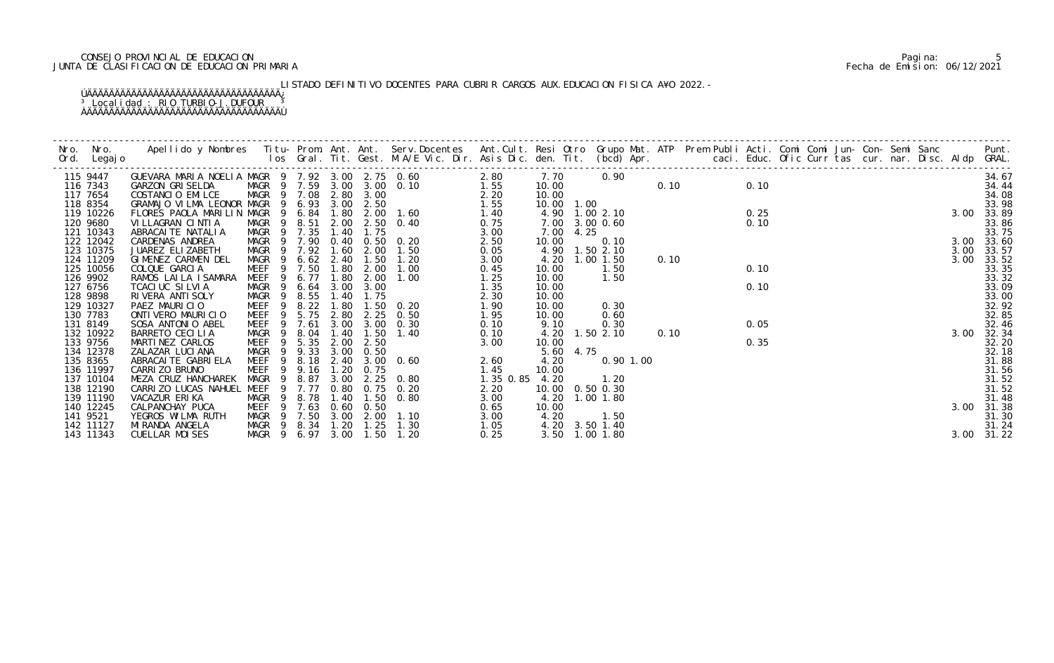# CONSEJO PROVINCIAL DE EDUCACION Pagina: 5 JUNTA DE CLASIFICACION DE EDUCACION PRIMARIA Fecha de Emision: 06/12/2021

LISTADO DEFINITIVO DOCENTES PARA CUBRIR CARGOS AUX.EDUCACION FISICA A¥O 2022.-

| 115 9447               | GUEVARA MARIA NOELIA MAGR 9 7.92 3.00 2.75 0.60<br>GARZON GRISELDA     MAGR 9 7.59 3.00 3.00 0.10                                                                                                                                    |                                                |             |      |           | $2.80$<br>$1.55$                                                                                                                                                         |                |                   |      |                                  |      | 7. 70 0. 90 0. 10 |      |  |  |  |              | 34.67               |
|------------------------|--------------------------------------------------------------------------------------------------------------------------------------------------------------------------------------------------------------------------------------|------------------------------------------------|-------------|------|-----------|--------------------------------------------------------------------------------------------------------------------------------------------------------------------------|----------------|-------------------|------|----------------------------------|------|-------------------|------|--|--|--|--------------|---------------------|
| 116 7343               |                                                                                                                                                                                                                                      |                                                |             |      |           |                                                                                                                                                                          |                |                   |      |                                  |      |                   | 0.10 |  |  |  |              | 34.44               |
| 117 7654               | COSTANCIO EMILCE MAGR 9 7. 99 3. 00 3. 00 0. 10 1. 99<br>COSTANCIO EMILCE MAGR 9 7. 08 2. 80 3. 00 2. 50 2. 20<br>GRAMAJO VILMA LEONOR MAGR 9 6. 93 3. 00 2. 50 1. 60 1. 55<br>FLORES PAOLA MARILIN MAGR 9 6. 84 1. 80 2. 00 1. 60 1 |                                                |             |      |           |                                                                                                                                                                          |                | 10.00             |      |                                  |      |                   |      |  |  |  |              | 34.08               |
| 118 8354               |                                                                                                                                                                                                                                      |                                                |             |      |           |                                                                                                                                                                          |                | 10.00 1.00        |      |                                  |      |                   |      |  |  |  |              | 33.98               |
| 119 10226              |                                                                                                                                                                                                                                      |                                                |             |      |           |                                                                                                                                                                          |                |                   |      | 4.90 1.00 2.10                   |      |                   | 0.25 |  |  |  |              | 3.00 33.89          |
| 120 9680               |                                                                                                                                                                                                                                      |                                                |             |      |           |                                                                                                                                                                          |                | 7.00 3.00 0.60    |      |                                  |      |                   | 0.10 |  |  |  |              | 33.86               |
| 121 10343              |                                                                                                                                                                                                                                      |                                                |             |      |           |                                                                                                                                                                          |                | 7.00              | 4.25 |                                  |      |                   |      |  |  |  |              | 33.75               |
| 122 12042              |                                                                                                                                                                                                                                      |                                                |             |      |           |                                                                                                                                                                          |                | 10.00             |      | 0.10                             |      |                   |      |  |  |  |              | 3.00 33.60          |
| 123 10375<br>124 11209 |                                                                                                                                                                                                                                      |                                                |             |      |           |                                                                                                                                                                          |                |                   |      | 4.90 1.50 2.10<br>4.20 1.00 1.50 | 0.10 |                   |      |  |  |  | 3.00<br>3.00 | 33.57               |
| 125 10056              | COLQUE GARCIA                                                                                                                                                                                                                        | MEEF                                           | 9 7.50 1.80 |      | 2.00      | 1.00                                                                                                                                                                     | 0.45           | 10.00             |      | 1.50                             |      |                   | 0.10 |  |  |  |              | 33.52<br>33.35      |
| 126 9902               | RAMOS LAILA ISAMARA                                                                                                                                                                                                                  | MEEF 9 6.77                                    |             | 1.80 | 2.00      | 1.00                                                                                                                                                                     | 1.25           | 10.00             |      | 1.50                             |      |                   |      |  |  |  |              | 33.32               |
| 127 6756               | TCACIUC SILVIA                                                                                                                                                                                                                       | MAGR 9 6.64                                    |             |      | 3.00 3.00 |                                                                                                                                                                          | 1.35           | 10.00             |      |                                  |      |                   | 0.10 |  |  |  |              | 33.09               |
| 128 9898               | RIVERA ANTI SOLY                                                                                                                                                                                                                     |                                                |             |      | 1.75      |                                                                                                                                                                          |                | 10.00             |      |                                  |      |                   |      |  |  |  |              | 33.00               |
| 129 10327              | PAEZ MAURICIO                                                                                                                                                                                                                        | MAGR 9 8.55 1.40<br>MEEF 9 8.22 1.80           |             |      |           | $\begin{array}{ccc} & & & & 1.35\ 0.20 & & & 1.90\ 0.50 & & & 1.95\ 0.30 & & & 0.10\ 1.40 & & & 0.10\ 0.60 & & & 2.60\ 0.60 & & & & 2.60\ \end{array}$<br>$1.50 \t 0.20$ |                | 10.00             |      | 0.30                             |      |                   |      |  |  |  |              | 32.92               |
| 130 7783               | ONTIVERO MAURICIO                                                                                                                                                                                                                    | MEEF 9 5.75                                    |             | 2.80 |           | 2.25 0.50                                                                                                                                                                |                | 10.00             |      | 0.60                             |      |                   |      |  |  |  |              | 32.85               |
| 131 8149               | SOSA ANTONIO ABEL                                                                                                                                                                                                                    | MEEF 9 7.61                                    |             |      |           | 3.00 3.00 0.30                                                                                                                                                           |                | 9.10              |      | 0.30                             |      |                   | 0.05 |  |  |  |              | 32.46               |
| 132 10922              | BARRETO CECILIA                                                                                                                                                                                                                      | MAGR<br>9                                      | 8.04        | 1.40 |           | 1.50 1.40                                                                                                                                                                |                |                   |      | 4.20 1.50 2.10                   | 0.10 |                   |      |  |  |  | 3.00         | 32.34               |
| 133 9756               | MARTINEZ CARLOS                                                                                                                                                                                                                      | MEEF                                           | 9 5.35      | 2.00 | 2.50      |                                                                                                                                                                          |                | 10.00             |      |                                  |      |                   | 0.35 |  |  |  |              | 32.20               |
| 134 12378              | ZALAZAR LUCI ANA                                                                                                                                                                                                                     | MAGR 9 9.33 3.00                               |             |      | 0.50      |                                                                                                                                                                          |                | 5.60 4.75         |      |                                  |      |                   |      |  |  |  |              | 32.18               |
| 135 8365               | ABRACAI TE GABRI ELA                                                                                                                                                                                                                 | MEEF 9 8.18 2.40 3.00 0.60                     |             |      |           |                                                                                                                                                                          |                | 4.20              |      | $0.90$ 1.00                      |      |                   |      |  |  |  |              | 31.88               |
| 136 11997              | CARRI ZO BRUNO                                                                                                                                                                                                                       | MEEF 9 9.16 1.20 0.75                          |             |      |           |                                                                                                                                                                          | 1.45           | 10.00             |      |                                  |      |                   |      |  |  |  |              | 31.56<br>31.52      |
| 137 10104              | MEZA CRUZ HANCHAREK                                                                                                                                                                                                                  | MAGR                                           | 9 8.87      | 3.00 | 2.25      | 0.80                                                                                                                                                                     | 1.35 0.85 4.20 |                   |      | 1.20                             |      |                   |      |  |  |  |              |                     |
| 138 12190              | CARRIZO LUCAS NAHUEL MEEF 9 7.77                                                                                                                                                                                                     |                                                |             |      |           | 0.80 0.75 0.20                                                                                                                                                           | 2.20           | 10.00  0.50  0.30 |      |                                  |      |                   |      |  |  |  |              | 31.52               |
| 139 11190              | VACAZUR ERIKA                                                                                                                                                                                                                        | MAGR 9 8.78 1.40                               |             |      |           | 1.50 0.80                                                                                                                                                                | 3.00           | 4.20 1.00 1.80    |      |                                  |      |                   |      |  |  |  |              | 31.48               |
| 140 12245              | CALPANCHAY PUCA                                                                                                                                                                                                                      | MEEF 9 7.63 0.60 0.50                          |             |      |           |                                                                                                                                                                          | 0.65           | 10.00             |      |                                  |      |                   |      |  |  |  |              | 3.00 31.38          |
| 141 9521               | YEGROS WILMA RUTH                                                                                                                                                                                                                    | MAGR 9 7.50 3.00 2.00 1.10                     |             |      |           |                                                                                                                                                                          | 3.00           | 4.20              |      | 1.50                             |      |                   |      |  |  |  |              | 31.30               |
| 142 11127<br>143 11343 | MI RANDA ANGELA<br>CUELLAR MOISES                                                                                                                                                                                                    | MAGR 9 8.34 1.20<br>MAGR 9 6.97 3.00 1.50 1.20 |             |      | 1.25      | 1.30                                                                                                                                                                     | 1.05<br>0.25   |                   |      | 4.20 3.50 1.40<br>3.50 1.00 1.80 |      |                   |      |  |  |  |              | 31.24<br>3.00 31.22 |
|                        |                                                                                                                                                                                                                                      |                                                |             |      |           |                                                                                                                                                                          |                |                   |      |                                  |      |                   |      |  |  |  |              |                     |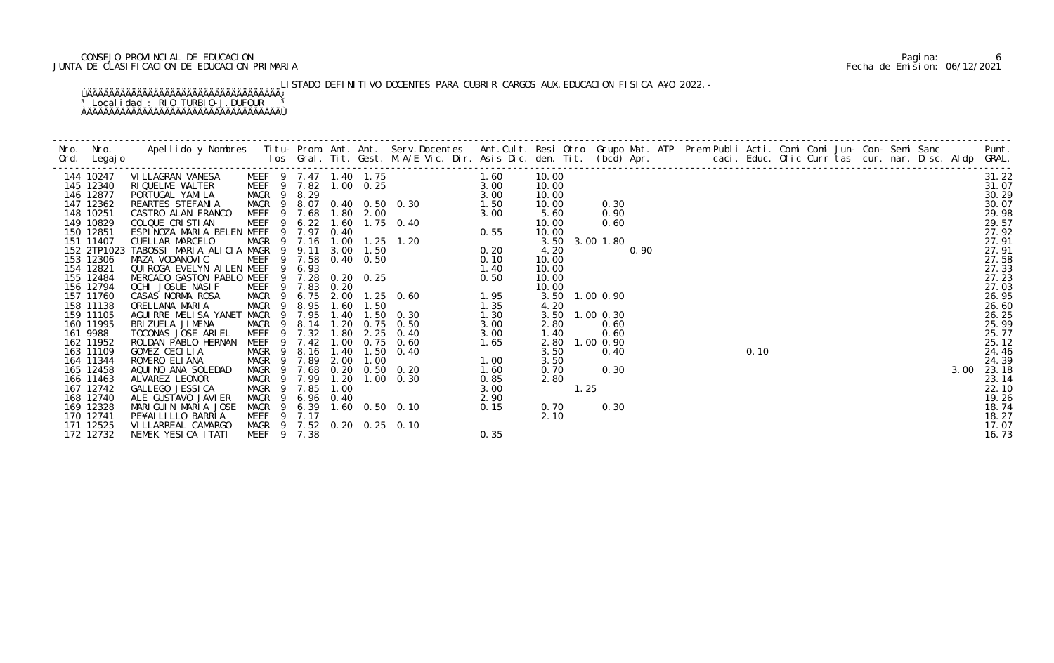# CONSEJO PROVINCIAL DE EDUCACION Pagina: 6 JUNTA DE CLASIFICACION DE EDUCACION PRIMARIA Fecha de Emision: 06/12/2021

LISTADO DEFINITIVO DOCENTES PARA CUBRIR CARGOS AUX.EDUCACION FISICA A¥O 2022.-

| 144 10247              | VI LLAGRAN VANESA                          |             |   |             |      |                       | MEER 19 7.47 1.40 1.75 1.60<br>MAGR 9 8.29 1.00 0.25 3.00<br>MAGR 9 8.29 1.00 0.25 3.00<br>MAGR 9 8.29 1.60 1.75 0.40 3.00<br>MEER 9 7.68 1.80 2.00 3.00 3.00<br>MEER 9 6.22 1.60 1.75 0.40 0.55<br>MEER 9 7.16 1.00 1.25 1.20 0.55<br>MAGR |      | 10.00 |                |      |  |  |  |  |  | $\frac{2}{2}$<br>0.10<br>0.10<br>0.24.4<br>0.24.4<br>0.24.3 |
|------------------------|--------------------------------------------|-------------|---|-------------|------|-----------------------|---------------------------------------------------------------------------------------------------------------------------------------------------------------------------------------------------------------------------------------------|------|-------|----------------|------|--|--|--|--|--|-------------------------------------------------------------|
| 145 12340              | RIQUELME WALTER                            |             |   |             |      | MEEF 9 7.82 1.00 0.25 |                                                                                                                                                                                                                                             |      | 10.00 |                |      |  |  |  |  |  |                                                             |
| 146 12877              | PORTUGAL YAMILA                            |             |   |             |      |                       |                                                                                                                                                                                                                                             |      | 10.00 |                |      |  |  |  |  |  |                                                             |
| 147 12362              | REARTES STEFANIA                           |             |   |             |      |                       |                                                                                                                                                                                                                                             |      | 10.00 | 0.30           |      |  |  |  |  |  |                                                             |
| 148 10251              | CASTRO ALAN FRANCO                         |             |   |             |      |                       |                                                                                                                                                                                                                                             |      | 5.60  | 0.90           |      |  |  |  |  |  |                                                             |
| 149 10829              | COLQUE CRISTIAN                            |             |   |             |      |                       |                                                                                                                                                                                                                                             |      | 10.00 | 0.60           |      |  |  |  |  |  |                                                             |
| 150 12851              | ESPINOZA MARIA BELEN MEEF 9 7.97 0.40      |             |   |             |      |                       |                                                                                                                                                                                                                                             |      | 10.00 |                |      |  |  |  |  |  |                                                             |
| 151 11407              | CUELLAR MARCELO                            |             |   |             |      |                       |                                                                                                                                                                                                                                             |      |       | 3.50 3.00 1.80 |      |  |  |  |  |  |                                                             |
| 152 2TP1023            | TABOSSI MARIA ALICIA MAGR 9 9.11           |             |   |             |      |                       |                                                                                                                                                                                                                                             |      | 4.20  |                | 0.90 |  |  |  |  |  |                                                             |
| 153 12306              | MAZA VODANOVIC                             |             |   |             |      |                       |                                                                                                                                                                                                                                             |      | 10.00 |                |      |  |  |  |  |  |                                                             |
| 154 12821              | QUI ROGA EVELYN AI LEN MEEF 9 6.93         |             |   |             |      |                       |                                                                                                                                                                                                                                             |      | 10.00 |                |      |  |  |  |  |  |                                                             |
| 155 12484              | MERCADO GASTON PABLO MEEF 9 7.28 0.20 0.25 |             |   |             |      |                       |                                                                                                                                                                                                                                             |      | 10.00 |                |      |  |  |  |  |  |                                                             |
| 156 12794<br>157 11760 | OCHI JOSUE NASIF                           |             |   |             |      |                       |                                                                                                                                                                                                                                             |      | 10.00 |                |      |  |  |  |  |  |                                                             |
| 158 11138              | CASAS NORMA ROSA<br>ORELLANA MARIA         |             |   |             |      |                       |                                                                                                                                                                                                                                             |      | 4.20  | 3.50 1.00 0.90 |      |  |  |  |  |  |                                                             |
| 159 11105              | AGUIRRE MELISA YANET MAGR                  |             |   |             |      |                       |                                                                                                                                                                                                                                             |      | 3.50  | $1.00$ 0.30    |      |  |  |  |  |  |                                                             |
| 160 11995              | BRIZUELA JIMENA                            |             |   |             |      |                       |                                                                                                                                                                                                                                             |      | 2.80  | 0.60           |      |  |  |  |  |  |                                                             |
| 161 9988               | TOCONAS JOSE ARIEL                         | MEEF        |   | 9 7.32      | 1.80 |                       | $2.25 \t 0.40$                                                                                                                                                                                                                              | 3.00 | 1.40  | 0.60           |      |  |  |  |  |  |                                                             |
| 162 11952              | ROLDAN PABLO HERNAN                        | <b>MEEF</b> | 9 | 7.42        |      |                       | 1.00 0.75 0.60                                                                                                                                                                                                                              |      | 2.80  | 1.00 0.90      |      |  |  |  |  |  |                                                             |
| 163 11109              | GOMEZ CECILIA                              | MAGR        | 9 | 8.16        | 1.40 |                       | $1.65$<br>$1.00$<br>$1.60$<br>$1.50 \t 0.40$                                                                                                                                                                                                |      | 3.50  | 0.40           |      |  |  |  |  |  |                                                             |
| 164 11344              | ROMERO ELIANA                              | MAGR 9      |   | 7.89        | 2.00 | 1.00                  |                                                                                                                                                                                                                                             |      | 3.50  |                |      |  |  |  |  |  |                                                             |
| 165 12458              | AQUINO ANA SOLEDAD                         |             |   |             |      |                       | MAGR 9 7.68 0.20 0.50 0.20                                                                                                                                                                                                                  |      | 0.70  | 0.30           |      |  |  |  |  |  |                                                             |
| 166 11463              | ALVAREZ LEONOR                             | MAGR 9 7.99 |   |             |      |                       |                                                                                                                                                                                                                                             |      | 2.80  |                |      |  |  |  |  |  | 23.14                                                       |
| 167 12742              | GALLEGO JESSI CA                           | MAGR        |   | 9 7.85      |      |                       |                                                                                                                                                                                                                                             |      |       | 1.25           |      |  |  |  |  |  | 22.10                                                       |
| 168 12740              | ALE GUSTAVO JAVI ER                        | MAGR 9      |   | 6.96 0.40   |      |                       |                                                                                                                                                                                                                                             |      |       |                |      |  |  |  |  |  | 19.26                                                       |
| 169 12328              | MARIGUIN MARIA JOSE                        |             |   | MAGR 9 6.39 |      |                       | 0. 50 0. 20<br>20 1. 00 0. 30<br>0. 40<br>2. 90<br>2. 90<br>2. 90<br>2. 90<br>0. 15                                                                                                                                                         |      | 0.70  | 0.30           |      |  |  |  |  |  | 18.74                                                       |
| 170 12741              | PE¥AI LI LLO BARRI A                       | MEEF 9 7.17 |   |             |      |                       |                                                                                                                                                                                                                                             |      | 2.10  |                |      |  |  |  |  |  | 18.27                                                       |
| 171 12525              | VI LLARREAL CAMARGO                        |             |   |             |      |                       | MAGR 9 7.52 0.20 0.25 0.10                                                                                                                                                                                                                  |      |       |                |      |  |  |  |  |  | 17.07                                                       |
| 172 12732              | NEMEK YESICA ITATI                         | MEEF 9 7.38 |   |             |      |                       |                                                                                                                                                                                                                                             | 0.35 |       |                |      |  |  |  |  |  | 16.73                                                       |